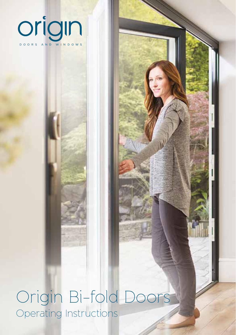

Origin Bi-fold Doors Operating Instructions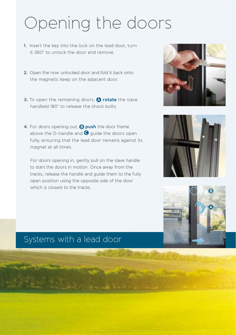## Opening the doors

- **1.** Insert the key into the lock on the lead door, turn it 360° to unlock the door and remove.
- **2.** Open the now unlocked door and fold it back onto the magnetic keep on the adjacent door.
- **3.** To open the remaining doors, **A** rotate the slave handle(s) 180° to release the shoot bolts.
- **4.** For doors opening out, **D** push the door frame above the D-handle and  $\bigcirc$  guide the doors open fully, ensuring that the lead door remains against its magnet at all times.

For doors opening in, gently pull on the slave handle to start the doors in motion. Once away from the tracks, release the handle and guide them to the fully open position using the opposite side of the door which is closest to the tracks.







### Systems with a lead door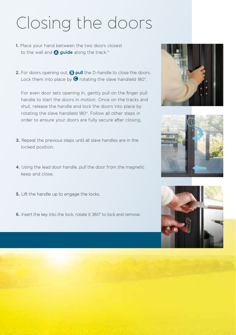# Closing the doors

- **1.** Place your hand between the two doors closest to the wall and **Q** guide along the track.<sup>\*</sup>
- **2.** For doors opening out, **D** pull the D-handle to close the doors. Lock them into place by  $\bigodot$  rotating the slave handle(s) 180°.

For even door sets opening in, gently pull on the finger pull handle to start the doors in motion. Once on the tracks and shut, release the handle and lock the doors into place by rotating the slave handle(s) 180°. Follow all other steps in order to ensure your doors are fully secure after closing.

- **3.** Repeat the previous steps until all slave handles are in the locked position.
- **4.** Using the lead door handle, pull the door from the magnetic keep and close.
- **5.** Lift the handle up to engage the locks.
- **6.** Insert the key into the lock, rotate it 360° to lock and remove.





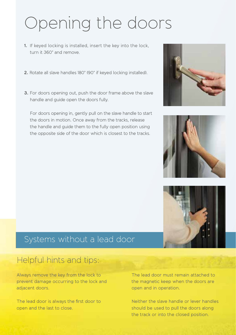## Opening the doors

- **1.** If keyed locking is installed, insert the key into the lock, turn it 360° and remove.
- **2.** Rotate all slave handles 180° (90° if keyed locking installed).
- **3.** For doors opening out, push the door frame above the slave handle and guide open the doors fully.

For doors opening in, gently pull on the slave handle to start the doors in motion. Once away from the tracks, release the handle and guide them to the fully open position using the opposite side of the door which is closest to the tracks.







### Systems without a lead door

### Helpful hints and tips:

Always remove the key from the lock to prevent damage occurring to the lock and adjacent doors.

The lead door is always the first door to open and the last to close.

The lead door must remain attached to the magnetic keep when the doors are open and in operation.

Neither the slave handle or lever handles should be used to pull the doors along the track or into the closed position.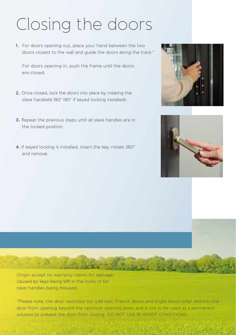# Closing the doors

**1.** For doors opening out, place your hand between the two doors closest to the wall and guide the doors along the track.\*

For doors opening in, push the frame until the doors are closed.

- **2.** Once closed, lock the doors into place by rotating the slave handle(s) 180° (90° if keyed locking installed).
- **3.** Repeat the previous steps until all slave handles are in the locked position.
- **4.** If keyed locking is installed, insert the key, rotate 360° and remove.





Origin accept no warranty claims for damage caused by keys being left in the locks or for slave handles being misused.

 $C_{21}$  ,  $C_{12}$ 

\*Please note, the door restrictor (on odd sets, French doors and single doors only) restricts the door from opening beyond the optimum opening point and is not to be used as a permanent solution to prevent the door from closing. DO NOT USE IN WINDY CONDITIONS.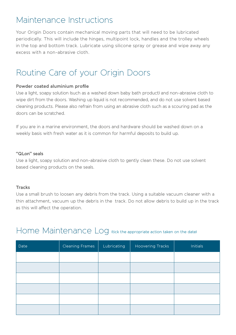### Maintenance Instructions

Your Origin Doors contain mechanical moving parts that will need to be lubricated periodically. This will include the hinges, multipoint lock, handles and the trolley wheels in the top and bottom track. Lubricate using silicone spray or grease and wipe away any excess with a non-abrasive cloth.

## Routine Care of your Origin Doors

#### **Powder coated aluminium profile**

Use a light, soapy solution (such as a washed down baby bath product) and non-abrasive cloth to wipe dirt from the doors. Washing up liquid is not recommended, and do not use solvent based cleaning products. Please also refrain from using an abrasive cloth such as a scouring pad as the doors can be scratched.

If you are in a marine environment, the doors and hardware should be washed down on a weekly basis with fresh water as it is common for harmful deposits to build up.

#### **"QLon" seals**

Use a light, soapy solution and non-abrasive cloth to gently clean these. Do not use solvent based cleaning products on the seals.

#### **Tracks**

Use a small brush to loosen any debris from the track. Using a suitable vacuum cleaner with a thin attachment, vacuum up the debris in the track. Do not allow debris to build up in the track as this will affect the operation.

### Home Maintenance Log (tick the appropriate action taken on the date)

| Date | <b>Cleaning Frames</b> | Lubricating | <b>Hoovering Tracks</b> | <b>Initials</b> |
|------|------------------------|-------------|-------------------------|-----------------|
|      |                        |             |                         |                 |
|      |                        |             |                         |                 |
|      |                        |             |                         |                 |
|      |                        |             |                         |                 |
|      |                        |             |                         |                 |
|      |                        |             |                         |                 |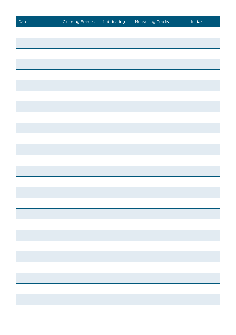| Date | Cleaning Frames | Lubricating | Hoovering Tracks | Initials |
|------|-----------------|-------------|------------------|----------|
|      |                 |             |                  |          |
|      |                 |             |                  |          |
|      |                 |             |                  |          |
|      |                 |             |                  |          |
|      |                 |             |                  |          |
|      |                 |             |                  |          |
|      |                 |             |                  |          |
|      |                 |             |                  |          |
|      |                 |             |                  |          |
|      |                 |             |                  |          |
|      |                 |             |                  |          |
|      |                 |             |                  |          |
|      |                 |             |                  |          |
|      |                 |             |                  |          |
|      |                 |             |                  |          |
|      |                 |             |                  |          |
|      |                 |             |                  |          |
|      |                 |             |                  |          |
|      |                 |             |                  |          |
|      |                 |             |                  |          |
|      |                 |             |                  |          |
|      |                 |             |                  |          |
|      |                 |             |                  |          |
|      |                 |             |                  |          |
|      |                 |             |                  |          |
|      |                 |             |                  |          |
|      |                 |             |                  |          |